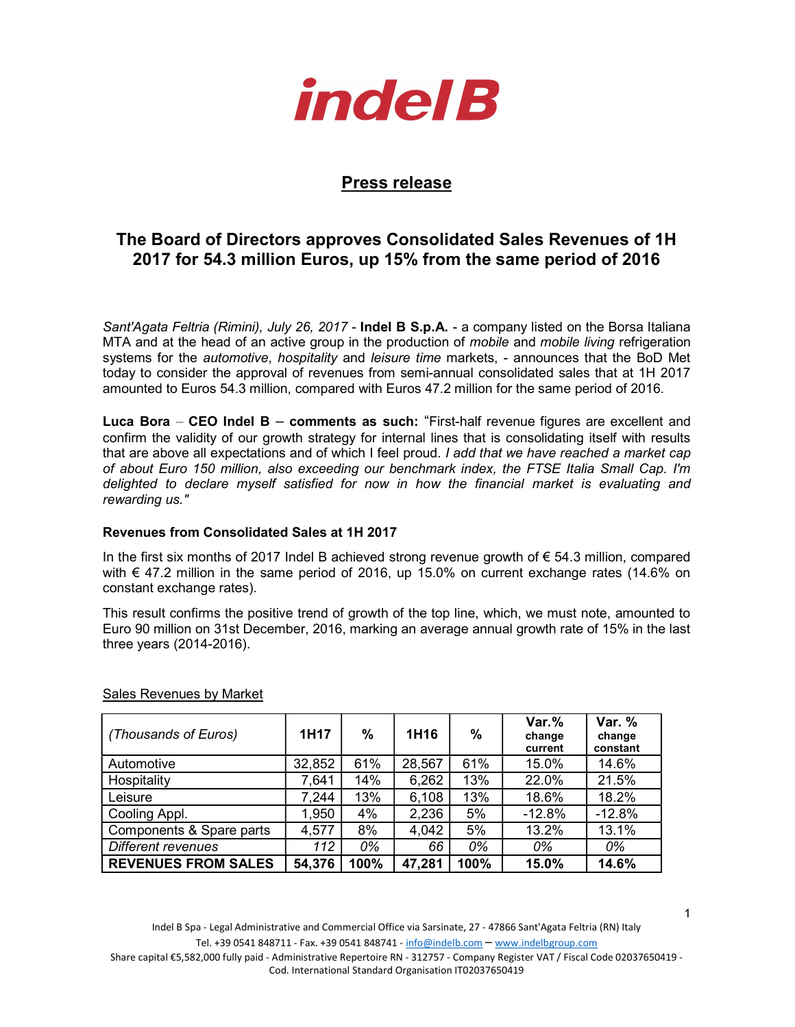

## Press release

# The Board of Directors approves Consolidated Sales Revenues of 1H 2017 for 54.3 million Euros, up 15% from the same period of 2016

Sant'Agata Feltria (Rimini), July 26, 2017 - Indel B S.p.A. - a company listed on the Borsa Italiana MTA and at the head of an active group in the production of mobile and mobile living refrigeration systems for the *automotive, hospitality* and leisure time markets, - announces that the BoD Met today to consider the approval of revenues from semi-annual consolidated sales that at 1H 2017 amounted to Euros 54.3 million, compared with Euros 47.2 million for the same period of 2016.

Luca Bora – CEO Indel B – comments as such: "First-half revenue figures are excellent and confirm the validity of our growth strategy for internal lines that is consolidating itself with results that are above all expectations and of which I feel proud. I add that we have reached a market cap of about Euro 150 million, also exceeding our benchmark index, the FTSE Italia Small Cap. I'm delighted to declare myself satisfied for now in how the financial market is evaluating and rewarding us."

### Revenues from Consolidated Sales at 1H 2017

In the first six months of 2017 Indel B achieved strong revenue growth of  $\epsilon$  54.3 million, compared with  $\epsilon$  47.2 million in the same period of 2016, up 15.0% on current exchange rates (14.6% on constant exchange rates).

This result confirms the positive trend of growth of the top line, which, we must note, amounted to Euro 90 million on 31st December, 2016, marking an average annual growth rate of 15% in the last three years (2014-2016).

| (Thousands of Euros)       | 1H17   | %    | 1H <sub>16</sub> | $\%$ | $Var.$ %<br>change<br>current | <b>Var. %</b><br>change<br>constant |
|----------------------------|--------|------|------------------|------|-------------------------------|-------------------------------------|
| Automotive                 | 32,852 | 61%  | 28,567           | 61%  | 15.0%                         | 14.6%                               |
| Hospitality                | 7,641  | 14%  | 6,262            | 13%  | 22.0%                         | 21.5%                               |
| Leisure                    | 7,244  | 13%  | 6,108            | 13%  | 18.6%                         | 18.2%                               |
| Cooling Appl.              | 1,950  | 4%   | 2,236            | 5%   | $-12.8%$                      | $-12.8%$                            |
| Components & Spare parts   | 4,577  | 8%   | 4,042            | 5%   | 13.2%                         | 13.1%                               |
| Different revenues         | 112    | 0%   | 66               | 0%   | 0%                            | 0%                                  |
| <b>REVENUES FROM SALES</b> | 54,376 | 100% | 47,281           | 100% | 15.0%                         | 14.6%                               |

### Sales Revenues by Market

Indel B Spa - Legal Administrative and Commercial Office via Sarsinate, 27 - 47866 Sant'Agata Feltria (RN) Italy Tel. +39 0541 848711 - Fax. +39 0541 848741 - info@indelb.com – www.indelbgroup.com Share capital €5,582,000 fully paid - Administrative Repertoire RN - 312757 - Company Register VAT / Fiscal Code 02037650419 - Cod. International Standard Organisation IT02037650419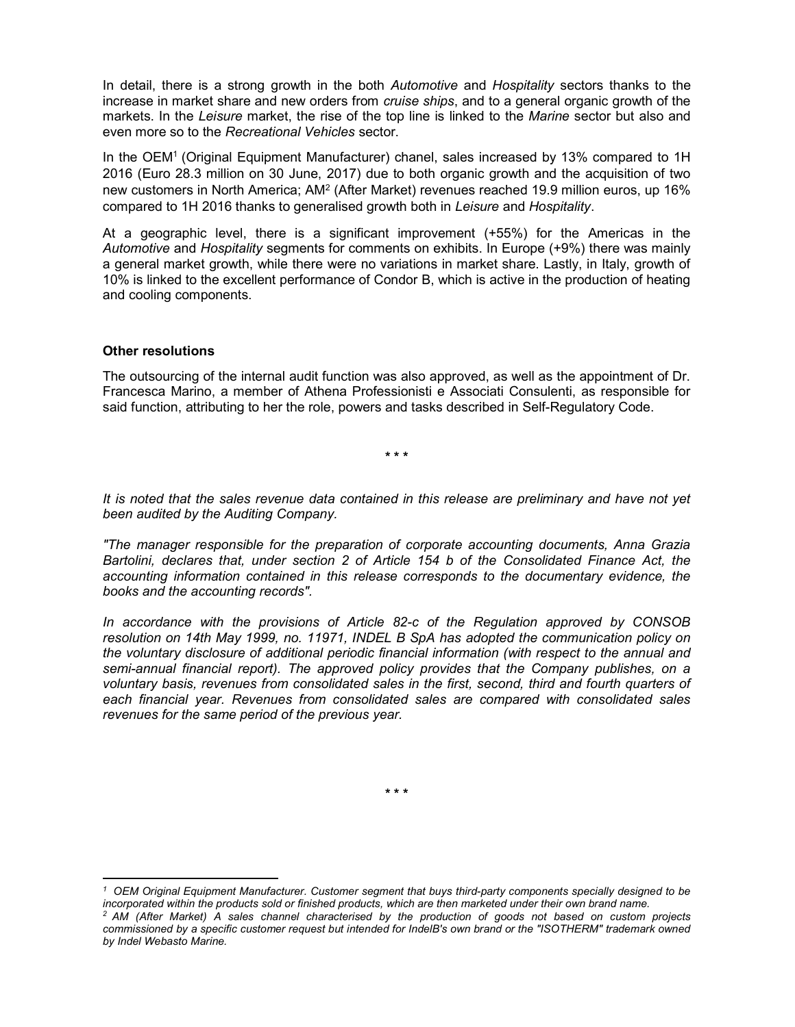In detail, there is a strong growth in the both Automotive and Hospitality sectors thanks to the increase in market share and new orders from *cruise ships*, and to a general organic growth of the markets. In the Leisure market, the rise of the top line is linked to the Marine sector but also and even more so to the Recreational Vehicles sector.

In the OEM<sup>1</sup> (Original Equipment Manufacturer) chanel, sales increased by 13% compared to 1H 2016 (Euro 28.3 million on 30 June, 2017) due to both organic growth and the acquisition of two new customers in North America; AM<sup>2</sup> (After Market) revenues reached 19.9 million euros, up 16% compared to 1H 2016 thanks to generalised growth both in Leisure and Hospitality.

At a geographic level, there is a significant improvement (+55%) for the Americas in the Automotive and Hospitality segments for comments on exhibits. In Europe (+9%) there was mainly a general market growth, while there were no variations in market share. Lastly, in Italy, growth of 10% is linked to the excellent performance of Condor B, which is active in the production of heating and cooling components.

#### Other resolutions

 $\overline{a}$ 

The outsourcing of the internal audit function was also approved, as well as the appointment of Dr. Francesca Marino, a member of Athena Professionisti e Associati Consulenti, as responsible for said function, attributing to her the role, powers and tasks described in Self-Regulatory Code.

\* \* \*

It is noted that the sales revenue data contained in this release are preliminary and have not yet been audited by the Auditing Company.

"The manager responsible for the preparation of corporate accounting documents, Anna Grazia Bartolini, declares that, under section 2 of Article 154 b of the Consolidated Finance Act, the accounting information contained in this release corresponds to the documentary evidence, the books and the accounting records".

In accordance with the provisions of Article 82-c of the Regulation approved by CONSOB resolution on 14th May 1999, no. 11971, INDEL B SpA has adopted the communication policy on the voluntary disclosure of additional periodic financial information (with respect to the annual and semi-annual financial report). The approved policy provides that the Company publishes, on a voluntary basis, revenues from consolidated sales in the first, second, third and fourth quarters of each financial year. Revenues from consolidated sales are compared with consolidated sales revenues for the same period of the previous year.

\* \* \*

<sup>1</sup> OEM Original Equipment Manufacturer. Customer segment that buys third-party components specially designed to be incorporated within the products sold or finished products, which are then marketed under their own brand name.

<sup>&</sup>lt;sup>2</sup> AM (After Market) A sales channel characterised by the production of goods not based on custom projects commissioned by a specific customer request but intended for IndelB's own brand or the "ISOTHERM" trademark owned by Indel Webasto Marine.